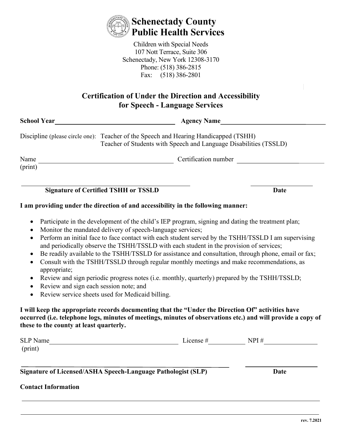

Children with Special Needs 107 Nott Terrace, Suite 306 Schenectady, New York 12308-3170 Phone: (518) 386-2815 Fax: (518) 386-2801

## **Certification of Under the Direction and Accessibility for Speech - Language Services**

| School Year     | <b>Agency Name</b>                                                                                                                                        |      |  |  |
|-----------------|-----------------------------------------------------------------------------------------------------------------------------------------------------------|------|--|--|
|                 | Discipline (please circle one): Teacher of the Speech and Hearing Handicapped (TSHH)<br>Teacher of Students with Speech and Language Disabilities (TSSLD) |      |  |  |
| Name<br>(print) | Certification number                                                                                                                                      |      |  |  |
|                 | <b>Signature of Certified TSHH or TSSLD</b>                                                                                                               | Date |  |  |
|                 | I am providing under the direction of and accessibility in the following manner:                                                                          |      |  |  |

- Participate in the development of the child's IEP program, signing and dating the treatment plan;
- Monitor the mandated delivery of speech-language services;
- Perform an initial face to face contact with each student served by the TSHH/TSSLD I am supervising and periodically observe the TSHH/TSSLD with each student in the provision of services;
- Be readily available to the TSHH/TSSLD for assistance and consultation, through phone, email or fax;
- Consult with the TSHH/TSSLD through regular monthly meetings and make recommendations, as appropriate;
- Review and sign periodic progress notes (i.e. monthly, quarterly) prepared by the TSHH/TSSLD;
- Review and sign each session note; and
- Review service sheets used for Medicaid billing.

## **I will keep the appropriate records documenting that the "Under the Direction Of" activities have occurred (i.e. telephone logs, minutes of meetings, minutes of observations etc.) and will provide a copy of these to the county at least quarterly.**

| SLP Name<br>(print)                                          | License $#$ | NPI# |  |
|--------------------------------------------------------------|-------------|------|--|
| Signature of Licensed/ASHA Speech-Language Pathologist (SLP) |             | Date |  |
| <b>Contact Information</b>                                   |             |      |  |

**rev. 7.2021**